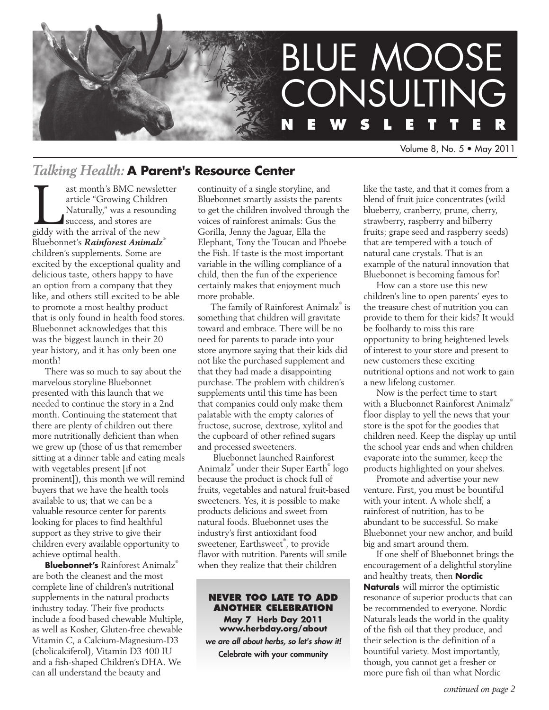

Volume 8, No. 5 • May 2011

# *Talking Health:* **A Parent's Resource Center**

ast month's BMC newsletter<br>
article "Growing Children<br>
Naturally," was a resounding<br>
success, and stores are<br>
giddy with the arrival of the new article "Growing Children Naturally," was a resounding success, and stores are Bluebonnet's *Rainforest Animalz*® children's supplements. Some are excited by the exceptional quality and delicious taste, others happy to have an option from a company that they like, and others still excited to be able to promote a most healthy product that is only found in health food stores. Bluebonnet acknowledges that this was the biggest launch in their 20 year history, and it has only been one month!

There was so much to say about the marvelous storyline Bluebonnet presented with this launch that we needed to continue the story in a 2nd month. Continuing the statement that there are plenty of children out there more nutritionally deficient than when we grew up (those of us that remember sitting at a dinner table and eating meals with vegetables present [if not prominent]), this month we will remind buyers that we have the health tools available to us; that we can be a valuable resource center for parents looking for places to find healthful support as they strive to give their children every available opportunity to achieve optimal health.

**Bluebonnet's** Rainforest Animalz® are both the cleanest and the most complete line of children's nutritional supplements in the natural products industry today. Their five products include a food based chewable Multiple, as well as Kosher, Gluten-free chewable Vitamin C, a Calcium-Magnesium-D3 (cholicalciferol), Vitamin D3 400 IU and a fish-shaped Children's DHA. We can all understand the beauty and

continuity of a single storyline, and Bluebonnet smartly assists the parents to get the children involved through the voices of rainforest animals: Gus the Gorilla, Jenny the Jaguar, Ella the Elephant, Tony the Toucan and Phoebe the Fish. If taste is the most important variable in the willing compliance of a child, then the fun of the experience certainly makes that enjoyment much more probable.

The family of Rainforest Animalz® is something that children will gravitate toward and embrace. There will be no need for parents to parade into your store anymore saying that their kids did not like the purchased supplement and that they had made a disappointing purchase. The problem with children's supplements until this time has been that companies could only make them palatable with the empty calories of fructose, sucrose, dextrose, xylitol and the cupboard of other refined sugars and processed sweeteners.

 Bluebonnet launched Rainforest Animalz® under their Super Earth® logo because the product is chock full of fruits, vegetables and natural fruit-based sweeteners. Yes, it is possible to make products delicious and sweet from natural foods. Bluebonnet uses the industry's first antioxidant food sweetener, Earthsweet® , to provide flavor with nutrition. Parents will smile when they realize that their children

#### **Never too late to add another celebration**

**May 7 Herb Day 2011 www.herbday.org/about** *we are all about herbs, so let's show it!* Celebrate with your community

like the taste, and that it comes from a blend of fruit juice concentrates (wild blueberry, cranberry, prune, cherry, strawberry, raspberry and bilberry fruits; grape seed and raspberry seeds) that are tempered with a touch of natural cane crystals. That is an example of the natural innovation that Bluebonnet is becoming famous for!

How can a store use this new children's line to open parents' eyes to the treasure chest of nutrition you can provide to them for their kids? It would be foolhardy to miss this rare opportunity to bring heightened levels of interest to your store and present to new customers these exciting nutritional options and not work to gain a new lifelong customer.

Now is the perfect time to start with a Bluebonnet Rainforest Animalz® floor display to yell the news that your store is the spot for the goodies that children need. Keep the display up until the school year ends and when children evaporate into the summer, keep the products highlighted on your shelves.

Promote and advertise your new venture. First, you must be bountiful with your intent. A whole shelf, a rainforest of nutrition, has to be abundant to be successful. So make Bluebonnet your new anchor, and build big and smart around them.

If one shelf of Bluebonnet brings the encouragement of a delightful storyline and healthy treats, then **Nordic Naturals** will mirror the optimistic resonance of superior products that can be recommended to everyone. Nordic Naturals leads the world in the quality of the fish oil that they produce, and their selection is the definition of a bountiful variety. Most importantly, though, you cannot get a fresher or more pure fish oil than what Nordic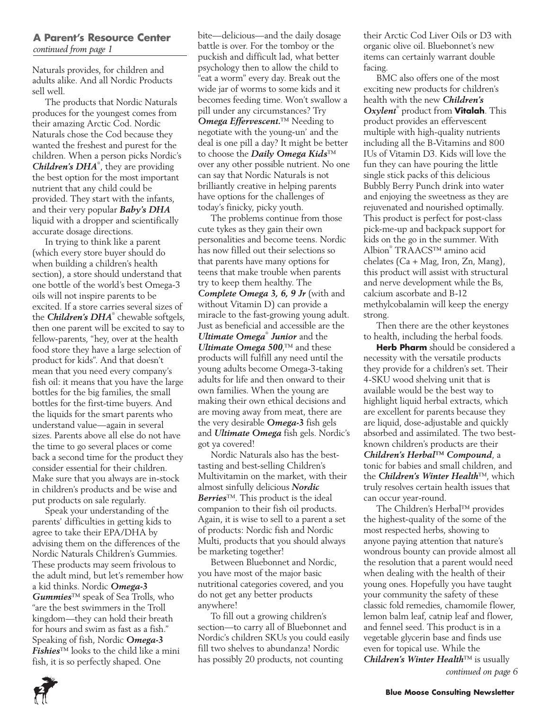#### **A Parent's Resource Center** *continued from page 1*

Naturals provides, for children and adults alike. And all Nordic Products sell well.

The products that Nordic Naturals produces for the youngest comes from their amazing Arctic Cod. Nordic Naturals chose the Cod because they wanted the freshest and purest for the children. When a person picks Nordic's *Children's DHA*® , they are providing the best option for the most important nutrient that any child could be provided. They start with the infants, and their very popular *Baby's DHA* liquid with a dropper and scientifically accurate dosage directions.

In trying to think like a parent (which every store buyer should do when building a children's health section), a store should understand that one bottle of the world's best Omega-3 oils will not inspire parents to be excited. If a store carries several sizes of the *Children's DHA*® chewable softgels, then one parent will be excited to say to fellow-parents, "hey, over at the health food store they have a large selection of product for kids". And that doesn't mean that you need every company's fish oil: it means that you have the large bottles for the big families, the small bottles for the first-time buyers. And the liquids for the smart parents who understand value—again in several sizes. Parents above all else do not have the time to go several places or come back a second time for the product they consider essential for their children. Make sure that you always are in-stock in children's products and be wise and put products on sale regularly.

Speak your understanding of the parents' difficulties in getting kids to agree to take their EPA/DHA by advising them on the differences of the Nordic Naturals Children's Gummies. These products may seem frivolous to the adult mind, but let's remember how a kid thinks. Nordic *Omega-3 Gummies*™ speak of Sea Trolls, who "are the best swimmers in the Troll kingdom—they can hold their breath for hours and swim as fast as a fish." Speaking of fish, Nordic *Omega-3 Fishies*™ looks to the child like a mini fish, it is so perfectly shaped. One

bite—delicious—and the daily dosage battle is over. For the tomboy or the puckish and difficult lad, what better psychology then to allow the child to "eat a worm" every day. Break out the wide jar of worms to some kids and it becomes feeding time. Won't swallow a pill under any circumstances? Try *Omega Effervescent.*™ Needing to negotiate with the young-un' and the deal is one pill a day? It might be better to choose the *Daily Omega Kids*™ over any other possible nutrient. No one can say that Nordic Naturals is not brilliantly creative in helping parents have options for the challenges of today's finicky, picky youth.

The problems continue from those cute tykes as they gain their own personalities and become teens. Nordic has now filled out their selections so that parents have many options for teens that make trouble when parents try to keep them healthy. The *Complete Omega 3, 6, 9 Jr* (with and without Vitamin D) can provide a miracle to the fast-growing young adult. Just as beneficial and accessible are the *Ultimate Omega*®  *Junior* and the *Ultimate Omega 500*,™ and these products will fulfill any need until the young adults become Omega-3-taking adults for life and then onward to their own families. When the young are making their own ethical decisions and are moving away from meat, there are the very desirable *Omega-3* fish gels and *Ultimate Omega* fish gels. Nordic's got ya covered!

Nordic Naturals also has the besttasting and best-selling Children's Multivitamin on the market, with their almost sinfully delicious *Nordic Berries*™. This product is the ideal companion to their fish oil products. Again, it is wise to sell to a parent a set of products: Nordic fish and Nordic Multi, products that you should always be marketing together!

Between Bluebonnet and Nordic, you have most of the major basic nutritional categories covered, and you do not get any better products anywhere!

To fill out a growing children's section—to carry all of Bluebonnet and Nordic's children SKUs you could easily fill two shelves to abundanza! Nordic has possibly 20 products, not counting

their Arctic Cod Liver Oils or D3 with organic olive oil. Bluebonnet's new items can certainly warrant double facing.

BMC also offers one of the most exciting new products for children's health with the new *Children's Oxylent*® product from **Vitalah**. This product provides an effervescent multiple with high-quality nutrients including all the B-Vitamins and 800 IUs of Vitamin D3. Kids will love the fun they can have pouring the little single stick packs of this delicious Bubbly Berry Punch drink into water and enjoying the sweetness as they are rejuvenated and nourished optimally. This product is perfect for post-class pick-me-up and backpack support for kids on the go in the summer. With Albion® TRAACS™ amino acid chelates (Ca + Mag, Iron, Zn, Mang), this product will assist with structural and nerve development while the Bs, calcium ascorbate and B-12 methylcobalamin will keep the energy strong.

Then there are the other keystones to health, including the herbal foods.

**Herb Pharm** should be considered a necessity with the versatile products they provide for a children's set. Their 4-SKU wood shelving unit that is available would be the best way to highlight liquid herbal extracts, which are excellent for parents because they are liquid, dose-adjustable and quickly absorbed and assimilated. The two bestknown children's products are their *Children's Herbal™ Compound*, a tonic for babies and small children, and the *Children's Winter Health*™, which truly resolves certain health issues that can occur year-round.

The Children's Herbal™ provides the highest-quality of the some of the most respected herbs, showing to anyone paying attention that nature's wondrous bounty can provide almost all the resolution that a parent would need when dealing with the health of their young ones. Hopefully you have taught your community the safety of these classic fold remedies, chamomile flower, lemon balm leaf, catnip leaf and flower, and fennel seed. This product is in a vegetable glycerin base and finds use even for topical use. While the *Children's Winter Health*™ is usually *continued on page 6*

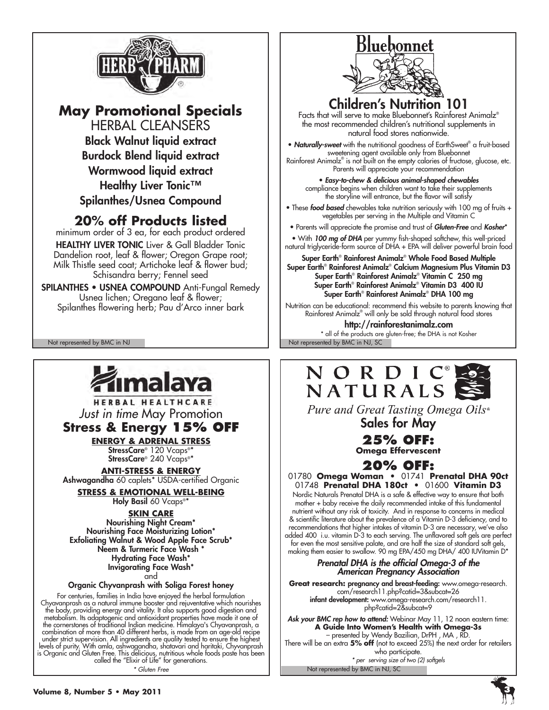

# **May Promotional Specials**

HERBAL CLEANSERS Black Walnut liquid extract Burdock Blend liquid extract Wormwood liquid extract Healthy Liver Tonic<sup>™</sup> Spilanthes/Usnea Compound

# **20% off Products listed**

minimum order of 3 ea, for each product ordered HEALTHY LIVER TONIC Liver & Gall Bladder Tonic Dandelion root, leaf & flower; Oregon Grape root; Milk Thistle seed coat; Artichoke leaf & flower bud; Schisandra berry; Fennel seed

SPILANTHES • USNEA COMPOUND Anti-Fungal Remedy Usnea lichen; Oregano leaf & flower; Spilanthes flowering herb; Pau d'Arco inner bark

Not represented by BMC in NJ Not represented by BMC in NJ, SC



HERBAL HEALTHCARE *Just in time* May Promotion

**Stress & Energy 15% off**

**Energy & Adrenal Stress** StressCare® 120 Vcaps®\* StressCare® 240 Vcaps®\*

**Anti-Stress & Energy** Ashwagandha 60 caplets\* USDA-certified Organic

**Stress & Emotional Well-being**

Holy Basil 60 Vcaps®\*

**Skin Care** Nourishing Night Cream\* Nourishing Face Moisturizing Lotion\* Exfoliating Walnut & Wood Apple Face Scrub\* Neem & Turmeric Face Wash \* Hydrating Face Wash\* Invigorating Face Wash\* and

Organic Chyvanprash with Soliga Forest honey

For centuries, families in India have enjoyed the herbal formulation Chyavanprash as a natural immune booster and rejuventative which nourishes the body, providing energy and vitality. It also supports good digestion and<br>metabolism. Its adaptogenic and antioxidant properties have made it one of<br>the cornerstones of traditional Indian medicine. Himalaya's Chyavanpra

*\* Gluten Free*

# **Bluebonnet**

Children's Nutrition 101

Facts that will serve to make Bluebonnet's Rainforest Animalz® the most recommended children's nutritional supplements in natural food stores nationwide.

• **Naturally-sweet** with the nutritional goodness of EarthSweet® a fruit-based sweetening agent available only from Bluebonnet Rainforest Animalz® is not built on the empty calories of fructose, glucose, etc.

Parents will appreciate your recommendation

• *Easy-to-chew & delicious animal-shaped chewables* compliance begins when children want to take their supplements the storyline will entrance, but the flavor will satisfy

• These *food based* chewables take nutrition seriously with 100 mg of fruits + vegetables per serving in the Multiple and Vitamin C

• Parents will appreciate the promise and trust of *Gluten-Free* and *Kosher*\* • With *100 mg of DHA* per yummy fish-shaped softchew, this well-priced natural triglyceride-form source of DHA + EPA will deliver powerful brain food

Super Earth® Rainforest Animalz® Whole Food Based Multiple Super Earth® Rainforest Animalz® Calcium Magnesium Plus Vitamin D3 Super Earth® Rainforest Animalz® Vitamin C 250 mg Super Earth® Rainforest Animalz® Vitamin D3 400 IU Super Earth® Rainforest Animalz® DHA 100 mg

Nutrition can be educational: recommend this website to parents knowing that Rainforest Animalz® will only be sold through natural food stores http://rainforestanimalz.com

\* all of the products are gluten-free; the DHA is not Kosher

# NORDIC® NATURALS

Pure and Great Tasting Omega Oils® Sales for May

**25% off:**

**Omega Effervescent**

# **20% off:**

01780 **Omega Woman •** 01741 **Prenatal DHA 90ct** 01748 **Prenatal DHA 180ct •** 01600 **Vitamin D3** 

Nordic Naturals Prenatal DHA is a safe & effective way to ensure that both mother + baby receive the daily recommended intake of this fundamental nutrient without any risk of toxicity. And in response to concerns in medical & scientific literature about the prevalence of a Vitamin D-3 deficiency, and to recommendations that higher intakes of vitamin D-3 are necessary, we've also added 400 i.u. vitamin D-3 to each serving. The unflavored soft gels are perfect for even the most sensitive palate, and are half the size of standard soft gels, making them easier to swallow. 90 mg EPA/450 mg DHA/ 400 IUVitamin D\*

# *Prenatal DHA is the official Omega-3 of the American Pregnancy Association*

**Great research:** pregnancy and breast-feeding: www.omega-research. com/research11.php?catid=3&subcat=26 infant development: www.omega-research.com/research11. php?catid=2&subcat=9

*Ask your BMC rep how to attend:* Webinar May 11, 12 noon eastern time: **A Guide Into Women's Health with Omega-3s** – presented by Wendy Bazilian, DrPH , MA , RD.

There will be an extra **5% off** (not to exceed 25%) the next order for retailers who participate.

Not represented by BMC in NJ, SC *\* per serving size of two (2) softgels*

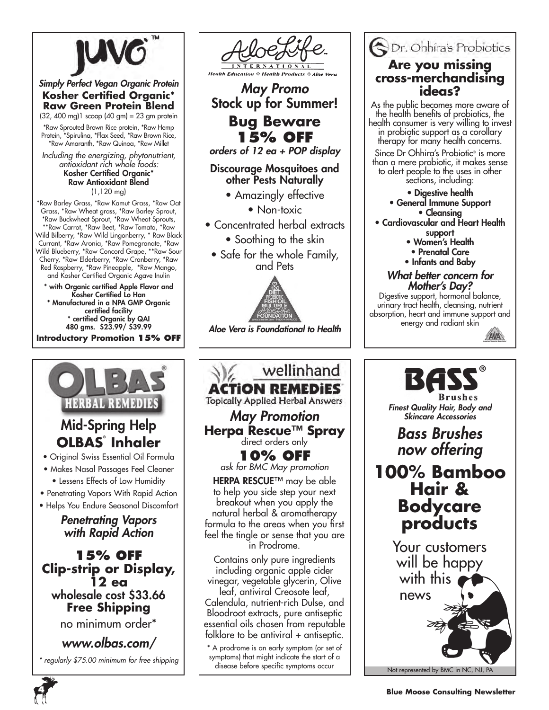

### *Simply Perfect Vegan Organic Protein* **Kosher Certified Organic\* Raw Green Protein Blend**

(32, 400 mg)1 scoop (40 gm) = 23 gm protein \*Raw Sprouted Brown Rice protein, \*Raw Hemp Protein, \*Spirulina, \*Flax Seed, \*Raw Brown Rice, \*Raw Amaranth, \*Raw Quinoa, \*Raw Millet

*Including the energizing, phytonutrient, antioxidant rich whole foods:* Kosher Certified Organic\* Raw Antioxidant Blend (1,120 mg)

\*Raw Barley Grass, \*Raw Kamut Grass, \*Raw Oat Grass, \*Raw Wheat grass, \*Raw Barley Sprout, \*Raw Buckwheat Sprout, \*Raw Wheat Sprouts, \*\*Raw Carrot, \*Raw Beet, \*Raw Tomato, \*Raw Wild Bilberry, \*Raw Wild Lingonberry, \* Raw Black Currant, \*Raw Aronia, \*Raw Pomegranate, \*Raw Wild Blueberry, \*Raw Concord Grape, \*\*Raw Sour Cherry, \*Raw Elderberry, \*Raw Cranberry, \*Raw Red Raspberry, \*Raw Pineapple, \*Raw Mango, and Kosher Certified Organic Agave Inulin

\* with Organic certified Apple Flavor and Kosher Certified Lo Han \* Manufactured in a NPA GMP Organic certified facility \* certified Organic by QAI 480 gms. \$23.99/ \$39.99

**Introductory Promotion 15% OFF**





*May Promo* Stock up for Summer!

**Bug Beware 15% off**

*orders of 12 ea + POP display*

### Discourage Mosquitoes and other Pests Naturally

• Amazingly effective

• Non-toxic

- Concentrated herbal extracts
	- Soothing to the skin
	- Safe for the whole Family, and Pets



*Aloe Vera is Foundational to Health*



Dr. Ohhira's Probiotics **Are you missing cross-merchandising ideas?**

As the public becomes more aware of the health benefits of probiotics, the health consumer is very willing to invest in probiotic support as a corollary therapy for many health concerns.

Since Dr Ohhira's Probiotic<sup>®</sup> is more than a mere probiotic, it makes sense to alert people to the uses in other sections, including:

• Digestive health

- General Immune Support • Cleansing
- Cardiovascular and Heart Health support
	- Women's Health
	- Prenatal Care
	- Infants and Baby

#### *What better concern for Mother's Day?*

Digestive support, hormonal balance, urinary tract health, cleansing, nutrient absorption, heart and immune support and energy and radiant skin





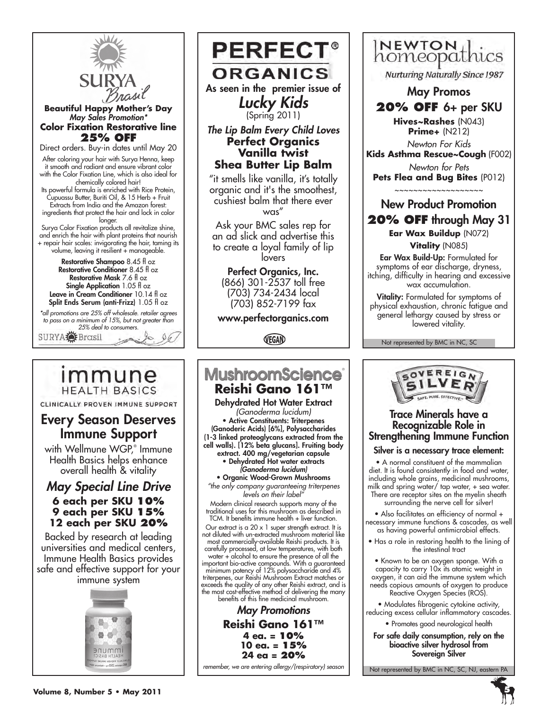

#### **Beautiful Happy Mother's Day** *May Sales Promotion\** **Color Fixation Restorative line 25% OFF**

Direct orders. Buy-in dates until May 20

After coloring your hair with Surya Henna, keep it smooth and radiant and ensure vibrant color with the Color Fixation Line, which is also ideal for chemically colored hair!

Its powerful formula is enriched with Rice Protein, Cupuassu Butter, Buriti Oil, & 15 Herb + Fruit Extracts from India and the Amazon forest: ingredients that protect the hair and lock in color longer.

Surya Color Fixation products all revitalize shine, and enrich the hair with plant proteins that nourish + repair hair scales: invigorating the hair, taming its volume, leaving it resilient + manageable.

Restorative Shampoo 8.45 fl oz Restorative Conditioner 8.45 fl oz Restorative Mask 7.6 fl oz Single Application 1.05 fl oz Leave in Cream Conditioner 10.14 fl oz Split Ends Serum (anti-Frizz) 1.05 fl oz

*\*all promotions are 25% off wholesale. retailer agrees to pass on a minimum of 15%, but not greater than 25% deal to consumers.*



# immune **HEALTH BASICS**

CLINICALLY PROVEN IMMUNE SUPPORT

# Every Season Deserves Immune Support

with Wellmune WGP,® Immune Health Basics helps enhance overall health & vitality

# *May Special Line Drive* **6 each per SKU 10% 9 each per SKU 15% 12 each per SKU 20%**

Backed by research at leading universities and medical centers, Immune Health Basics provides safe and effective support for your immune system



**PERFECT® ORGANICS** As seen in the premier issue of *Lucky Kids* 

(Spring 2011)

#### *The Lip Balm Every Child Loves* **Perfect Organics Vanilla twist Shea Butter Lip Balm**

"it smells like vanilla, it's totally organic and it's the smoothest, cushiest balm that there ever was"

Ask your BMC sales rep for an ad slick and advertise this to create a loyal family of lip lovers

#### Perfect Organics, Inc. (866) 301-2537 toll free (703) 734-2434 local (703) 852-7199 fax

www.perfectorganics.com

VEGAN

# **MushroomScience**® **Reishi Gano 161™** Dehydrated Hot Water Extract *(Ganoderma lucidum)*

• Active Constituents: Triterpenes (Ganoderic Acids) [6%], Polysaccharides (1-3 linked proteoglycans extracted from the cell walls). [12% beta glucans]. Fruiting body

extract. 400 mg/vegetarian capsule • Dehydrated Hot water extracts *(Ganoderma lucidum)*

• Organic Wood-Grown Mushrooms *"the only company guaranteeing triterpenes* 

*levels on their label"* Modern clinical research supports many of the traditional uses for this mushroom as described in TCM. It benefits immune health + liver function.

Our extract is a  $20 \times 1$  super strength extract. It is not diluted with un-extracted mushroom material like most commercially-available Reishi products. It is carefully processed, at low temperatures, with both

water + alcohol to ensure the presence of all the important bio-active compounds. With a guaranteed minimum potency of 12% polysaccharide and 4% triterpenes, our Reishi Mushroom Extract matches or exceeds the quality of any other Reishi extract, and is the most cost-effective method of delivering the many benefits of this fine medicinal mushroom.

*May Promotions* **Reishi Gano 161™ 4 ea. = 10% 10 ea. = 15% 24 ea = 20%** *remember, we are entering allergy/(respiratory) season*



Nurturing Naturally Since 1987

# May Promos **20% off** 6+ per SKU

**Hives~Rashes** (N043) **Prime+** (N212)

*Newton For Kids* **Kids Asthma Rescue~Cough** (F002)

*Newton for Pets* **Pets Flea and Bug Bites** (P012)

~~~~~~~~~~~~~~~~~~~

# New Product Promotion **20% off** through May 31 **Ear Wax Buildup** (N072) **Vitality** (N085)

Ear Wax Build-Up: Formulated for symptoms of ear discharge, dryness, itching, difficulty in hearing and excessive wax accumulation.

Vitality: Formulated for symptoms of physical exhaustion, chronic fatigue and general lethargy caused by stress or lowered vitality.

Not represented by BMC in NC, SC



### Trace Minerals have a Recognizable Role in Strengthening Immune Function

### Silver is a necessary trace element:

• A normal constituent of the mammalian diet. It is found consistently in food and water, including whole grains, medicinal mushrooms, milk and spring water/ tap water, + sea water. There are receptor sites on the myelin sheath surrounding the nerve cell for silver!

• Also facilitates an efficiency of normal + necessary immune functions & cascades, as well as having powerful antimicrobial effects.

• Has a role in restoring health to the lining of the intestinal tract

• Known to be an oxygen sponge. With a capacity to carry 10x its atomic weight in oxygen, it can aid the immune system which needs copious amounts of oxygen to produce Reactive Oxygen Species (ROS).

• Modulates fibrogenic cytokine activity, reducing excess cellular inflammatory cascades.

• Promotes good neurological health

For safe daily consumption, rely on the bioactive silver hydrosol from Sovereign Silver

Not represented by BMC in NC, SC, NJ, eastern PA

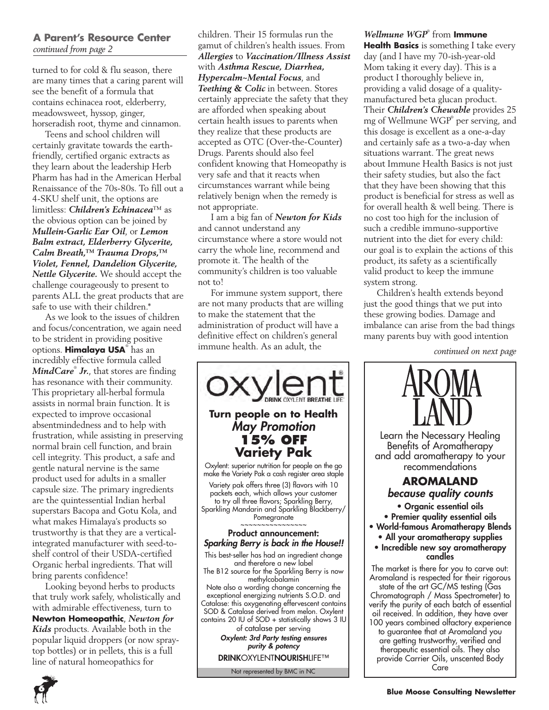#### **A Parent's Resource Center**  *continued from page 2*

turned to for cold & flu season, there are many times that a caring parent will see the benefit of a formula that contains echinacea root, elderberry, meadowsweet, hyssop, ginger, horseradish root, thyme and cinnamon.

Teens and school children will certainly gravitate towards the earthfriendly, certified organic extracts as they learn about the leadership Herb Pharm has had in the American Herbal Renaissance of the 70s-80s. To fill out a 4-SKU shelf unit, the options are limitless: *Children's Echinacea*™ as the obvious option can be joined by *Mullein-Garlic Ear Oil*, or *Lemon Balm extract, Elderberry Glycerite, Calm Breath,™ Trauma Drops,™ Violet, Fennel, Dandelion Glycerite, Nettle Glycerite.* We should accept the challenge courageously to present to parents ALL the great products that are safe to use with their children.\*

As we look to the issues of children and focus/concentration, we again need to be strident in providing positive options. **Himalaya USA**® has an incredibly effective formula called *MindCare*® *Jr.*, that stores are finding has resonance with their community. This proprietary all-herbal formula assists in normal brain function. It is expected to improve occasional absentmindedness and to help with frustration, while assisting in preserving normal brain cell function, and brain cell integrity. This product, a safe and gentle natural nervine is the same product used for adults in a smaller capsule size. The primary ingredients are the quintessential Indian herbal superstars Bacopa and Gotu Kola, and what makes Himalaya's products so trustworthy is that they are a verticalintegrated manufacturer with seed-toshelf control of their USDA-certified Organic herbal ingredients. That will bring parents confidence!

Looking beyond herbs to products that truly work safely, wholistically and with admirable effectiveness, turn to **Newton Homeopathic**, *Newton for Kids* products. Available both in the popular liquid droppers (or now spraytop bottles) or in pellets, this is a full line of natural homeopathics for

children. Their 15 formulas run the gamut of children's health issues. From *Allergies* to *Vaccination/Illness Assist*  with *Asthma Rescue, Diarrhea, Hypercalm~Mental Focus*, and *Teething & Colic* in between. Stores certainly appreciate the safety that they are afforded when speaking about certain health issues to parents when they realize that these products are accepted as OTC (Over-the-Counter) Drugs. Parents should also feel confident knowing that Homeopathy is very safe and that it reacts when circumstances warrant while being relatively benign when the remedy is not appropriate.

I am a big fan of *Newton for Kids*  and cannot understand any circumstance where a store would not carry the whole line, recommend and promote it. The health of the community's children is too valuable not to!

For immune system support, there are not many products that are willing to make the statement that the administration of product will have a definitive effect on children's general immune health. As an adult, the



### *Wellmune WGP*® from **Immune Health Basics** is something I take every day (and I have my 70-ish-year-old Mom taking it every day). This is a product I thoroughly believe in, providing a valid dosage of a qualitymanufactured beta glucan product. Their *Children's Chewable* provides 25 mg of Wellmune WGP® per serving, and this dosage is excellent as a one-a-day

and certainly safe as a two-a-day when situations warrant. The great news about Immune Health Basics is not just their safety studies, but also the fact that they have been showing that this product is beneficial for stress as well as for overall health & well being. There is no cost too high for the inclusion of such a credible immuno-supportive nutrient into the diet for every child: our goal is to explain the actions of this product, its safety as a scientifically valid product to keep the immune system strong.

Children's health extends beyond just the good things that we put into these growing bodies. Damage and imbalance can arise from the bad things many parents buy with good intention

*continued on next page*

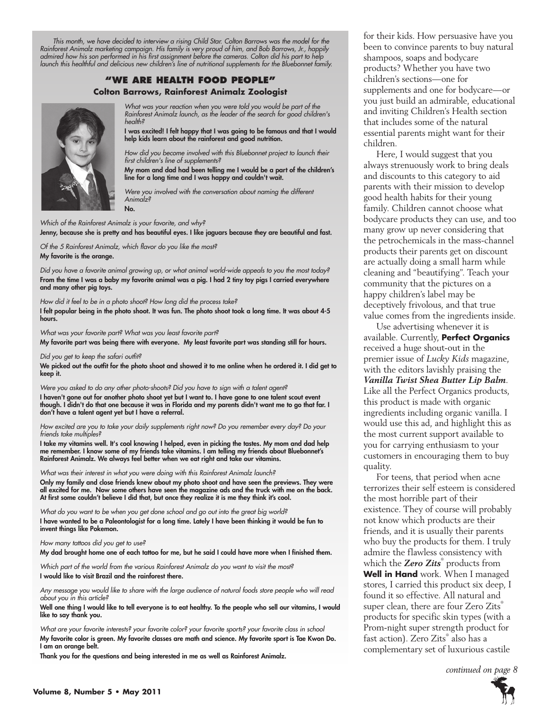*This month, we have decided to interview a rising Child Star. Colton Barrows was the model for the Rainforest Animalz marketing campaign. His family is very proud of him, and Bob Barrows, Jr., happily admired how his son performed in his first assignment before the cameras. Colton did his part to help launch this healthful and delicious new children's line of nutritional supplements for the Bluebonnet family.*

#### **"We Are health food people" Colton Barrows, Rainforest Animalz Zoologist**



*What was your reaction when you were told you would be part of the Rainforest Animalz launch, as the leader of the search for good children's health?*

I was excited! I felt happy that I was going to be famous and that I would help kids learn about the rainforest and good nutrition.

*How did you become involved with this Bluebonnet project to launch their first children's line of supplements?*

My mom and dad had been telling me I would be a part of the children's line for a long time and I was happy and couldn't wait.

*Were you involved with the conversation about naming the different Animalz?* No.

*Which of the Rainforest Animalz is your favorite, and why?*

Jenny, because she is pretty and has beautiful eyes. I like jaguars because they are beautiful and fast.

*Of the 5 Rainforest Animalz, which flavor do you like the most?* My favorite is the orange.

*Did you have a favorite animal growing up, or what animal world-wide appeals to you the most today?* From the time I was a baby my favorite animal was a pig. I had 2 tiny toy pigs I carried everywhere and many other pig toys.

*How did it feel to be in a photo shoot? How long did the process take?* I felt popular being in the photo shoot. It was fun. The photo shoot took a long time. It was about 4-5 hours.

*What was your favorite part? What was you least favorite part?*

My favorite part was being there with everyone. My least favorite part was standing still for hours.

#### *Did you get to keep the safari outfit?*

We picked out the outfit for the photo shoot and showed it to me online when he ordered it. I did get to keep it.

*Were you asked to do any other photo-shoots? Did you have to sign with a talent agent?* I haven't gone out for another photo shoot yet but I want to. I have gone to one talent scout event though. I didn't do that one because it was in Florida and my parents didn't want me to go that far. I don't have a talent agent yet but I have a referral.

*How excited are you to take your daily supplements right now? Do you remember every day? Do your friends take multiples?*

I take my vitamins well. It's cool knowing I helped, even in picking the tastes. My mom and dad help me remember. I know some of my friends take vitamins. I am telling my friends about Bluebonnet's Rainforest Animalz. We always feel better when we eat right and take our vitamins.

*What was their interest in what you were doing with this Rainforest Animalz launch?*

Only my family and close friends knew about my photo shoot and have seen the previews. They were all excited for me. Now some others have seen the magazine ads and the truck with me on the back. At first some couldn't believe I did that, but once they realize it is me they think it's cool.

*What do you want to be when you get done school and go out into the great big world?* I have wanted to be a Paleontologist for a long time. Lately I have been thinking it would be fun to invent things like Pokemon.

#### *How many tattoos did you get to use?*

My dad brought home one of each tattoo for me, but he said I could have more when I finished them.

*Which part of the world from the various Rainforest Animalz do you want to visit the most?* I would like to visit Brazil and the rainforest there.

*Any message you would like to share with the large audience of natural foods store people who will read about you in this article?*

Well one thing I would like to tell everyone is to eat healthy. To the people who sell our vitamins, I would like to say thank you.

*What are your favorite interests? your favorite color? your favorite sports? your favorite class in school* My favorite color is green. My favorite classes are math and science. My favorite sport is Tae Kwon Do. I am an orange belt.

Thank you for the questions and being interested in me as well as Rainforest Animalz.

for their kids. How persuasive have you been to convince parents to buy natural shampoos, soaps and bodycare products? Whether you have two children's sections—one for supplements and one for bodycare—or you just build an admirable, educational and inviting Children's Health section that includes some of the natural essential parents might want for their children.

Here, I would suggest that you always strenuously work to bring deals and discounts to this category to aid parents with their mission to develop good health habits for their young family. Children cannot choose what bodycare products they can use, and too many grow up never considering that the petrochemicals in the mass-channel products their parents get on discount are actually doing a small harm while cleaning and "beautifying". Teach your community that the pictures on a happy children's label may be deceptively frivolous, and that true value comes from the ingredients inside.

Use advertising whenever it is available. Currently, **Perfect Organics** received a huge shout-out in the premier issue of *Lucky Kids* magazine, with the editors lavishly praising the *Vanilla Twist Shea Butter Lip Balm*. Like all the Perfect Organics products, this product is made with organic ingredients including organic vanilla. I would use this ad, and highlight this as the most current support available to you for carrying enthusiasm to your customers in encouraging them to buy quality.

For teens, that period when acne terrorizes their self esteem is considered the most horrible part of their existence. They of course will probably not know which products are their friends, and it is usually their parents who buy the products for them. I truly admire the flawless consistency with which the *Zero Zits*® products from **Well in Hand** work. When I managed stores, I carried this product six deep, I found it so effective. All natural and super clean, there are four Zero Zits® products for specific skin types (with a Prom-night super strength product for fast action). Zero Zits® also has a complementary set of luxurious castile

*continued on page 8*